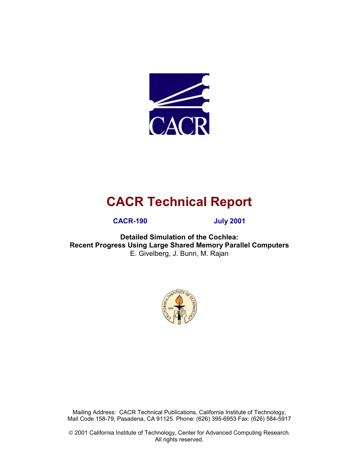

# **CACR Technical Report**

**CACR-190 July 2001** 

**Detailed Simulation of the Cochlea: Recent Progress Using Large Shared Memory Parallel Computers**  E. Givelberg, J. Bunn, M. Rajan



Mailing Address: CACR Technical Publications, California Institute of Technology, Mail Code 158-79, Pasadena, CA 91125. Phone: (626) 395-6953 Fax: (626) 584-5917

 2001 California Institute of Technology, Center for Advanced Computing Research. All rights reserved.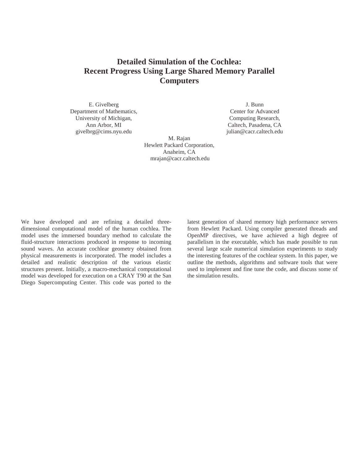#### **Detailed Simulation of the Cochlea: Recent Progress Using Large Shared Memory Parallel Computers**

E. Givelberg Department of Mathematics, University of Michigan, Ann Arbor, MI givelbrg@cims.nyu.edu

J. Bunn Center for Advanced Computing Research, Caltech, Pasadena, CA julian@cacr.caltech.edu

M. Rajan Hewlett Packard Corporation, Anaheim, CA mrajan@cacr.caltech.edu

We have developed and are refining a detailed threedimensional computational model of the human cochlea. The model uses the immersed boundary method to calculate the fluid-structure interactions produced in response to incoming sound waves. An accurate cochlear geometry obtained from physical measurements is incorporated. The model includes a detailed and realistic description of the various elastic structures present. Initially, a macro-mechanical computational model was developed for execution on a CRAY T90 at the San Diego Supercomputing Center. This code was ported to the

latest generation of shared memory high performance servers from Hewlett Packard. Using compiler generated threads and OpenMP directives, we have achieved a high degree of parallelism in the executable, which has made possible to run several large scale numerical simulation experiments to study the interesting features of the cochlear system. In this paper, we outline the methods, algorithms and software tools that were used to implement and fine tune the code, and discuss some of the simulation results.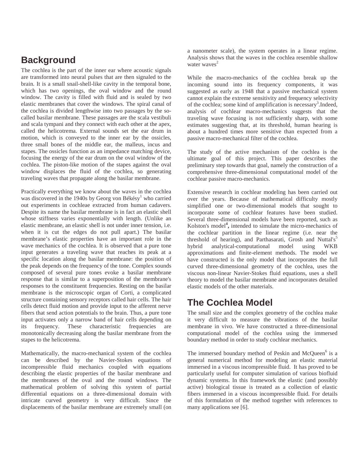# **Background**

The cochlea is the part of the inner ear where acoustic signals are transformed into neural pulses that are then signaled to the brain. It is a small snail-shell-like cavity in the temporal bone, which has two openings, the oval window and the round window. The cavity is filled with fluid and is sealed by two elastic membranes that cover the windows. The spiral canal of the cochlea is divided lengthwise into two passages by the socalled basilar membrane. These passages are the scala vestibuli and scala tympani and they connect with each other at the apex, called the helicotrema. External sounds set the ear drum in motion, which is conveyed to the inner ear by the ossicles, three small bones of the middle ear, the malleus, incus and stapes. The ossicles function as an impedance matching device, focusing the energy of the ear drum on the oval window of the cochlea. The piston-like motion of the stapes against the oval window displaces the fluid of the cochlea, so generating traveling waves that propagate along the basilar membrane.

Practically everything we know about the waves in the cochlea was discovered in the 1940s by Georg von Békésy<sup>1</sup> who carried out experiments in cochleae extracted from human cadavers. Despite its name the basilar membrane is in fact an elastic shell whose stiffness varies exponentially with length. (Unlike an elastic membrane, an elastic shell is not under inner tension, i.e. when it is cut the edges do not pull apart.) The basilar membrane's elastic properties have an important role in the wave mechanics of the cochlea. It is observed that a pure tone input generates a traveling wave that reaches its peak at a specific location along the basilar membrane: the position of the peak depends on the frequency of the tone. Complex sounds composed of several pure tones evoke a basilar membrane response that is similar to a superposition of the membrane's responses to the constituent frequencies. Resting on the basilar membrane is the microscopic organ of Corti, a complicated structure containing sensory receptors called hair cells. The hair cells detect fluid motion and provide input to the afferent nerve fibers that send action potentials to the brain. Thus, a pure tone input activates only a narrow band of hair cells depending on its frequency. These characteristic frequencies are monotonically decreasing along the basilar membrane from the stapes to the helicotrema.

Mathematically, the macro-mechanical system of the cochlea can be described by the Navier-Stokes equations of incompressible fluid mechanics coupled with equations describing the elastic properties of the basilar membrane and the membranes of the oval and the round windows. The mathematical problem of solving this system of partial differential equations on a three-dimensional domain with intricate curved geometry is very difficult. Since the displacements of the basilar membrane are extremely small (on

a nanometer scale), the system operates in a linear regime. Analysis shows that the waves in the cochlea resemble shallow water waves $2$ 

While the macro-mechanics of the cochlea break up the incoming sound into its frequency components, it was suggested as early as 1948 that a passive mechanical system cannot explain the extreme sensitivity and frequency selectivity of the cochlea; some kind of amplification is necessary<sup>3</sup>. Indeed, analysis of cochlear macro-mechanics suggests that the traveling wave focusing is not sufficiently sharp, with some estimates suggesting that, at its threshold, human hearing is about a hundred times more sensitive than expected from a passive macro-mechanical filter of the cochlea.

The study of the active mechanism of the cochlea is the ultimate goal of this project. This paper describes the preliminary step towards that goal, namely the construction of a comprehensive three-dimensional computational model of the cochlear passive macro-mechanics.

Extensive research in cochlear modeling has been carried out over the years. Because of mathematical difficulty mostly simplified one or two-dimensional models that sought to incorporate some of cochlear features have been studied. Several three-dimensional models have been reported, such as Kolston's model**<sup>4</sup> ,** intended to simulate the micro-mechanics of the cochlear partition in the linear regime (i.e. near the threshold of hearing), and Parthasarati, Grosh and Nuttal's<sup>5</sup> hybrid analytical-computational model using WKB approximations and finite-element methods. The model we have constructed is the only model that incorporates the full curved three-dimensional geometry of the cochlea, uses the viscous non-linear Navier-Stokes fluid equations, uses a shell theory to model the basilar membrane and incorporates detailed elastic models of the other materials.

### **The Cochlea Model**

The small size and the complex geometry of the cochlea make it very difficult to measure the vibrations of the basilar membrane in vivo. We have constructed a three-dimensional computational model of the cochlea using the immersed boundary method in order to study cochlear mechanics.

The immersed boundary method of Peskin and McQueen<sup>6</sup> is a general numerical method for modeling an elastic material immersed in a viscous incompressible fluid. It has proved to be particularly useful for computer simulation of various biofluid dynamic systems. In this framework the elastic (and possibly active) biological tissue is treated as a collection of elastic fibers immersed in a viscous incompressible fluid. For details of this formulation of the method together with references to many applications see [6].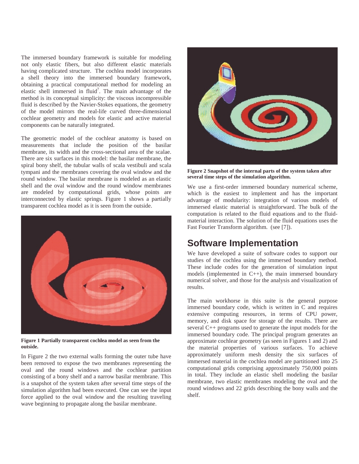The immersed boundary framework is suitable for modeling not only elastic fibers, but also different elastic materials having complicated structure. The cochlea model incorporates a shell theory into the immersed boundary framework, obtaining a practical computational method for modeling an elastic shell immersed in fluid<sup>7</sup>. The main advantage of the method is its conceptual simplicity: the viscous incompressible fluid is described by the Navier-Stokes equations, the geometry of the model mirrors the real-life curved three-dimensional cochlear geometry and models for elastic and active material components can be naturally integrated.

The geometric model of the cochlear anatomy is based on measurements that include the position of the basilar membrane, its width and the cross-sectional area of the scalae. There are six surfaces in this model: the basilar membrane, the spiral bony shelf, the tubular walls of scala vestibuli and scala tympani and the membranes covering the oval window and the round window. The basilar membrane is modeled as an elastic shell and the oval window and the round window membranes are modeled by computational grids, whose points are interconnected by elastic springs. Figure 1 shows a partially transparent cochlea model as it is seen from the outside.



**Figure 1 Partially transparent cochlea model as seen from the outside.**

In Figure 2 the two external walls forming the outer tube have been removed to expose the two membranes representing the oval and the round windows and the cochlear partition consisting of a bony shelf and a narrow basilar membrane. This is a snapshot of the system taken after several time steps of the simulation algorithm had been executed. One can see the input force applied to the oval window and the resulting traveling wave beginning to propagate along the basilar membrane.



**Figure 2 Snapshot of the internal parts of the system taken after several time steps of the simulation algorithm.**

We use a first-order immersed boundary numerical scheme, which is the easiest to implement and has the important advantage of modularity: integration of various models of immersed elastic material is straightforward. The bulk of the computation is related to the fluid equations and to the fluidmaterial interaction. The solution of the fluid equations uses the Fast Fourier Transform algorithm. (see [7]).

### **Software Implementation**

We have developed a suite of software codes to support our studies of the cochlea using the immersed boundary method. These include codes for the generation of simulation input models (implemented in C++), the main immersed boundary numerical solver, and those for the analysis and visualization of results.

The main workhorse in this suite is the general purpose immersed boundary code, which is written in C and requires extensive computing resources, in terms of CPU power, memory, and disk space for storage of the results. There are several C++ programs used to generate the input models for the immersed boundary code. The principal program generates an approximate cochlear geometry (as seen in Figures 1 and 2) and the material properties of various surfaces. To achieve approximately uniform mesh density the six surfaces of immersed material in the cochlea model are partitioned into 25 computational grids comprising approximately 750,000 points in total. They include an elastic shell modeling the basilar membrane, two elastic membranes modeling the oval and the round windows and 22 grids describing the bony walls and the shelf.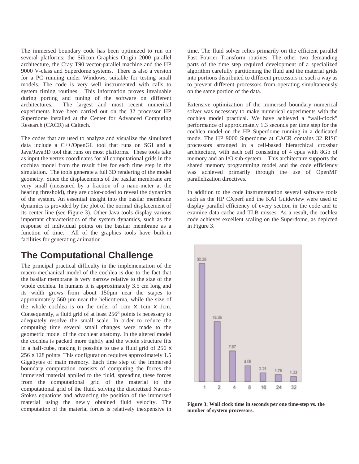The immersed boundary code has been optimized to run on several platforms: the Silicon Graphics Origin 2000 parallel architecture, the Cray T90 vector-parallel machine and the HP 9000 V-class and Superdome systems. There is also a version for a PC running under Windows, suitable for testing small models. The code is very well instrumented with calls to system timing routines. This information proves invaluable during porting and tuning of the software on different architectures. The largest and most recent numerical experiments have been carried out on the 32 processor HP Superdome installed at the Center for Advanced Computing Research (CACR) at Caltech.

The codes that are used to analyze and visualize the simulated data include a C++/OpenGL tool that runs on SGI and a Java/Java3D tool that runs on most platforms. These tools take as input the vertex coordinates for all computational grids in the cochlea model from the result files for each time step in the simulation. The tools generate a full 3D rendering of the model geometry. Since the displacements of the basilar membrane are very small (measured by a fraction of a nano-meter at the hearing threshold), they are color-coded to reveal the dynamics of the system. An essential insight into the basilar membrane dynamics is provided by the plot of the normal displacement of its center line (see Figure 3). Other Java tools display various important characteristics of the system dynamics, such as the response of individual points on the basilar membrane as a function of time. All of the graphics tools have built-in facilities for generating animation.

#### **The Computational Challenge**

The principal practical difficulty in the implementation of the macro-mechanical model of the cochlea is due to the fact that the basilar membrane is very narrow relative to the size of the whole cochlea. In humans it is approximately 3.5 cm long and its width grows from about 150µm near the stapes to approximately 560 µm near the helicotrema, while the size of the whole cochlea is on the order of 1cm x 1cm x 1cm. Consequently, a fluid grid of at least  $256<sup>3</sup>$  points is necessary to adequately resolve the small scale. In order to reduce the computing time several small changes were made to the geometric model of the cochlear anatomy. In the altered model the cochlea is packed more tightly and the whole structure fits in a half-cube, making it possible to use a fluid grid of 256 x 256 x 128 points. This configuration requires approximately 1.5 Gigabytes of main memory. Each time step of the immersed boundary computation consists of computing the forces the immersed material applied to the fluid, spreading these forces from the computational grid of the material to the computational grid of the fluid, solving the discretized Navier-Stokes equations and advancing the position of the immersed material using the newly obtained fluid velocity. The computation of the material forces is relatively inexpensive in

time. The fluid solver relies primarily on the efficient parallel Fast Fourier Transform routines. The other two demanding parts of the time step required development of a specialized algorithm carefully partitioning the fluid and the material grids into portions distributed to different processors in such a way as to prevent different processors from operating simultaneously on the same portion of the data.

Extensive optimization of the immersed boundary numerical solver was necessary to make numerical experiments with the cochlea model practical. We have achieved a "wall-clock" performance of approximately 1.3 seconds per time step for the cochlea model on the HP Superdome running in a dedicated mode. The HP 9000 Superdome at CACR contains 32 RISC processors arranged in a cell-based hierarchical crossbar architecture, with each cell consisting of 4 cpus with 8Gb of memory and an I/O sub-system. This architecture supports the shared memory programming model and the code efficiency was achieved primarily through the use of OpenMP parallelization directives.

In addition to the code instrumentation several software tools such as the HP CXperf and the KAI Guideview were used to display parallel efficiency of every section in the code and to examine data cache and TLB misses. As a result, the cochlea code achieves excellent scaling on the Superdome, as depicted in Figure 3.



**Figure 3: Wall clock time in seconds per one time-step vs. the number of system processors.**